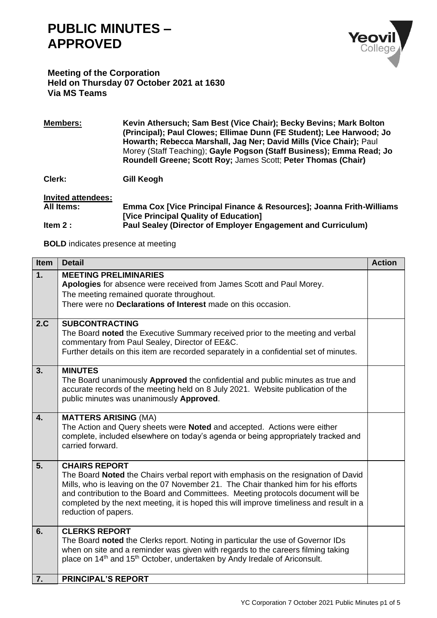## **PUBLIC MINUTES – APPROVED**



## **Meeting of the Corporation Held on Thursday 07 October 2021 at 1630 Via MS Teams**

**Members: Kevin Athersuch; Sam Best (Vice Chair); Becky Bevins; Mark Bolton (Principal); Paul Clowes; Ellimae Dunn (FE Student); Lee Harwood; Jo Howarth; Rebecca Marshall, Jag Ner; David Mills (Vice Chair);** Paul Morey (Staff Teaching); **Gayle Pogson (Staff Business); Emma Read; Jo Roundell Greene; Scott Roy;** James Scott; **Peter Thomas (Chair)**

**Clerk: Gill Keogh**

**Invited attendees: All Items: Emma Cox [Vice Principal Finance & Resources]; Joanna Frith-Williams [Vice Principal Quality of Education] Item 2 : Paul Sealey (Director of Employer Engagement and Curriculum)**

**BOLD** indicates presence at meeting

| <b>Item</b>      | <b>Detail</b>                                                                                                                                                                                                                                                                                                                                                                                           | <b>Action</b> |
|------------------|---------------------------------------------------------------------------------------------------------------------------------------------------------------------------------------------------------------------------------------------------------------------------------------------------------------------------------------------------------------------------------------------------------|---------------|
| 1.               | <b>MEETING PRELIMINARIES</b><br>Apologies for absence were received from James Scott and Paul Morey.<br>The meeting remained quorate throughout.<br>There were no Declarations of Interest made on this occasion.                                                                                                                                                                                       |               |
| 2.C              | <b>SUBCONTRACTING</b><br>The Board noted the Executive Summary received prior to the meeting and verbal<br>commentary from Paul Sealey, Director of EE&C.<br>Further details on this item are recorded separately in a confidential set of minutes.                                                                                                                                                     |               |
| 3.               | <b>MINUTES</b><br>The Board unanimously Approved the confidential and public minutes as true and<br>accurate records of the meeting held on 8 July 2021. Website publication of the<br>public minutes was unanimously Approved.                                                                                                                                                                         |               |
| $\overline{4}$ . | <b>MATTERS ARISING (MA)</b><br>The Action and Query sheets were Noted and accepted. Actions were either<br>complete, included elsewhere on today's agenda or being appropriately tracked and<br>carried forward.                                                                                                                                                                                        |               |
| 5.               | <b>CHAIRS REPORT</b><br>The Board Noted the Chairs verbal report with emphasis on the resignation of David<br>Mills, who is leaving on the 07 November 21. The Chair thanked him for his efforts<br>and contribution to the Board and Committees. Meeting protocols document will be<br>completed by the next meeting, it is hoped this will improve timeliness and result in a<br>reduction of papers. |               |
| 6.               | <b>CLERKS REPORT</b><br>The Board noted the Clerks report. Noting in particular the use of Governor IDs<br>when on site and a reminder was given with regards to the careers filming taking<br>place on 14 <sup>th</sup> and 15 <sup>th</sup> October, undertaken by Andy Iredale of Ariconsult.                                                                                                        |               |
| 7.               | <b>PRINCIPAL'S REPORT</b>                                                                                                                                                                                                                                                                                                                                                                               |               |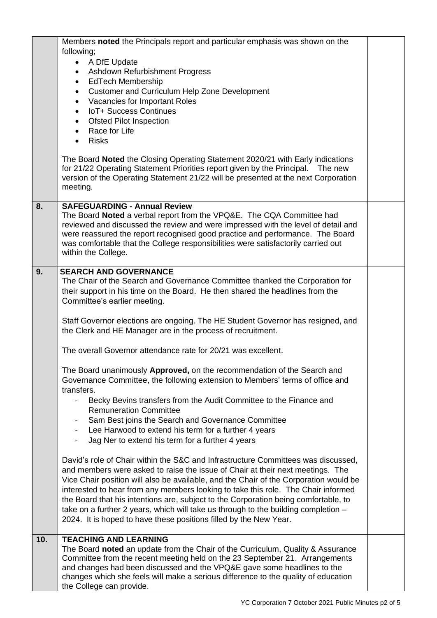|     | Members noted the Principals report and particular emphasis was shown on the                                                                                                                                                                                        |  |
|-----|---------------------------------------------------------------------------------------------------------------------------------------------------------------------------------------------------------------------------------------------------------------------|--|
|     | following;<br>A DfE Update<br>$\bullet$                                                                                                                                                                                                                             |  |
|     | Ashdown Refurbishment Progress<br>$\bullet$                                                                                                                                                                                                                         |  |
|     | • EdTech Membership                                                                                                                                                                                                                                                 |  |
|     | <b>Customer and Curriculum Help Zone Development</b><br>$\bullet$                                                                                                                                                                                                   |  |
|     | • Vacancies for Important Roles<br>IoT+ Success Continues                                                                                                                                                                                                           |  |
|     | $\bullet$<br>• Ofsted Pilot Inspection                                                                                                                                                                                                                              |  |
|     | Race for Life<br>$\bullet$                                                                                                                                                                                                                                          |  |
|     | <b>Risks</b>                                                                                                                                                                                                                                                        |  |
|     | The Board Noted the Closing Operating Statement 2020/21 with Early indications<br>for 21/22 Operating Statement Priorities report given by the Principal. The new<br>version of the Operating Statement 21/22 will be presented at the next Corporation<br>meeting. |  |
| 8.  | <b>SAFEGUARDING - Annual Review</b>                                                                                                                                                                                                                                 |  |
|     | The Board Noted a verbal report from the VPQ&E. The CQA Committee had<br>reviewed and discussed the review and were impressed with the level of detail and<br>were reassured the report recognised good practice and performance. The Board                         |  |
|     | was comfortable that the College responsibilities were satisfactorily carried out<br>within the College.                                                                                                                                                            |  |
| 9.  | <b>SEARCH AND GOVERNANCE</b>                                                                                                                                                                                                                                        |  |
|     | The Chair of the Search and Governance Committee thanked the Corporation for                                                                                                                                                                                        |  |
|     | their support in his time on the Board. He then shared the headlines from the                                                                                                                                                                                       |  |
|     | Committee's earlier meeting.                                                                                                                                                                                                                                        |  |
|     | Staff Governor elections are ongoing. The HE Student Governor has resigned, and<br>the Clerk and HE Manager are in the process of recruitment.                                                                                                                      |  |
|     | The overall Governor attendance rate for 20/21 was excellent.                                                                                                                                                                                                       |  |
|     | The Board unanimously Approved, on the recommendation of the Search and                                                                                                                                                                                             |  |
|     | Governance Committee, the following extension to Members' terms of office and                                                                                                                                                                                       |  |
|     | transfers.                                                                                                                                                                                                                                                          |  |
|     | Becky Bevins transfers from the Audit Committee to the Finance and<br><b>Remuneration Committee</b>                                                                                                                                                                 |  |
|     | Sam Best joins the Search and Governance Committee                                                                                                                                                                                                                  |  |
|     | Lee Harwood to extend his term for a further 4 years                                                                                                                                                                                                                |  |
|     | Jag Ner to extend his term for a further 4 years                                                                                                                                                                                                                    |  |
|     | David's role of Chair within the S&C and Infrastructure Committees was discussed,                                                                                                                                                                                   |  |
|     | and members were asked to raise the issue of Chair at their next meetings. The                                                                                                                                                                                      |  |
|     | Vice Chair position will also be available, and the Chair of the Corporation would be                                                                                                                                                                               |  |
|     | interested to hear from any members looking to take this role. The Chair informed                                                                                                                                                                                   |  |
|     | the Board that his intentions are, subject to the Corporation being comfortable, to<br>take on a further 2 years, which will take us through to the building completion -                                                                                           |  |
|     | 2024. It is hoped to have these positions filled by the New Year.                                                                                                                                                                                                   |  |
| 10. | <b>TEACHING AND LEARNING</b>                                                                                                                                                                                                                                        |  |
|     | The Board noted an update from the Chair of the Curriculum, Quality & Assurance                                                                                                                                                                                     |  |
|     | Committee from the recent meeting held on the 23 September 21. Arrangements<br>and changes had been discussed and the VPQ&E gave some headlines to the                                                                                                              |  |
|     | changes which she feels will make a serious difference to the quality of education                                                                                                                                                                                  |  |
|     | the College can provide.                                                                                                                                                                                                                                            |  |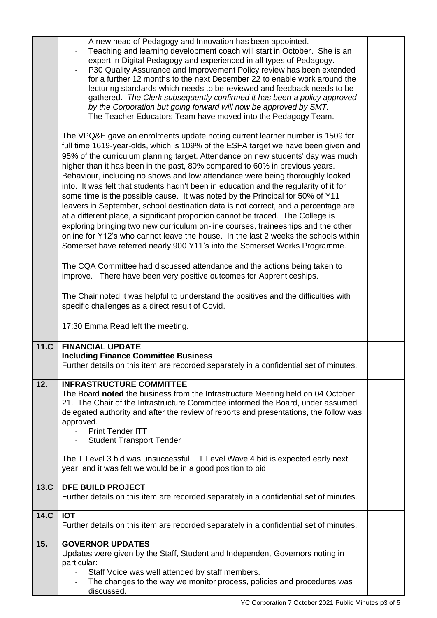|      | A new head of Pedagogy and Innovation has been appointed.<br>Teaching and learning development coach will start in October. She is an<br>expert in Digital Pedagogy and experienced in all types of Pedagogy.<br>P30 Quality Assurance and Improvement Policy review has been extended<br>for a further 12 months to the next December 22 to enable work around the<br>lecturing standards which needs to be reviewed and feedback needs to be<br>gathered. The Clerk subsequently confirmed it has been a policy approved<br>by the Corporation but going forward will now be approved by SMT.<br>The Teacher Educators Team have moved into the Pedagogy Team.<br>The VPQ&E gave an enrolments update noting current learner number is 1509 for<br>full time 1619-year-olds, which is 109% of the ESFA target we have been given and<br>95% of the curriculum planning target. Attendance on new students' day was much<br>higher than it has been in the past, 80% compared to 60% in previous years.<br>Behaviour, including no shows and low attendance were being thoroughly looked<br>into. It was felt that students hadn't been in education and the regularity of it for<br>some time is the possible cause. It was noted by the Principal for 50% of Y11<br>leavers in September, school destination data is not correct, and a percentage are<br>at a different place, a significant proportion cannot be traced. The College is<br>exploring bringing two new curriculum on-line courses, traineeships and the other<br>online for Y12's who cannot leave the house. In the last 2 weeks the schools within<br>Somerset have referred nearly 900 Y11's into the Somerset Works Programme.<br>The CQA Committee had discussed attendance and the actions being taken to<br>improve. There have been very positive outcomes for Apprenticeships.<br>The Chair noted it was helpful to understand the positives and the difficulties with<br>specific challenges as a direct result of Covid. |  |
|------|---------------------------------------------------------------------------------------------------------------------------------------------------------------------------------------------------------------------------------------------------------------------------------------------------------------------------------------------------------------------------------------------------------------------------------------------------------------------------------------------------------------------------------------------------------------------------------------------------------------------------------------------------------------------------------------------------------------------------------------------------------------------------------------------------------------------------------------------------------------------------------------------------------------------------------------------------------------------------------------------------------------------------------------------------------------------------------------------------------------------------------------------------------------------------------------------------------------------------------------------------------------------------------------------------------------------------------------------------------------------------------------------------------------------------------------------------------------------------------------------------------------------------------------------------------------------------------------------------------------------------------------------------------------------------------------------------------------------------------------------------------------------------------------------------------------------------------------------------------------------------------------------------------------------------------------------------------------------------------------------------------|--|
|      | 17:30 Emma Read left the meeting.                                                                                                                                                                                                                                                                                                                                                                                                                                                                                                                                                                                                                                                                                                                                                                                                                                                                                                                                                                                                                                                                                                                                                                                                                                                                                                                                                                                                                                                                                                                                                                                                                                                                                                                                                                                                                                                                                                                                                                       |  |
|      |                                                                                                                                                                                                                                                                                                                                                                                                                                                                                                                                                                                                                                                                                                                                                                                                                                                                                                                                                                                                                                                                                                                                                                                                                                                                                                                                                                                                                                                                                                                                                                                                                                                                                                                                                                                                                                                                                                                                                                                                         |  |
| 11.C | <b>FINANCIAL UPDATE</b><br><b>Including Finance Committee Business</b><br>Further details on this item are recorded separately in a confidential set of minutes.                                                                                                                                                                                                                                                                                                                                                                                                                                                                                                                                                                                                                                                                                                                                                                                                                                                                                                                                                                                                                                                                                                                                                                                                                                                                                                                                                                                                                                                                                                                                                                                                                                                                                                                                                                                                                                        |  |
| 12.  | <b>INFRASTRUCTURE COMMITTEE</b><br>The Board noted the business from the Infrastructure Meeting held on 04 October<br>21. The Chair of the Infrastructure Committee informed the Board, under assumed<br>delegated authority and after the review of reports and presentations, the follow was<br>approved.<br><b>Print Tender ITT</b><br><b>Student Transport Tender</b><br>The T Level 3 bid was unsuccessful. T Level Wave 4 bid is expected early next<br>year, and it was felt we would be in a good position to bid.                                                                                                                                                                                                                                                                                                                                                                                                                                                                                                                                                                                                                                                                                                                                                                                                                                                                                                                                                                                                                                                                                                                                                                                                                                                                                                                                                                                                                                                                              |  |
|      |                                                                                                                                                                                                                                                                                                                                                                                                                                                                                                                                                                                                                                                                                                                                                                                                                                                                                                                                                                                                                                                                                                                                                                                                                                                                                                                                                                                                                                                                                                                                                                                                                                                                                                                                                                                                                                                                                                                                                                                                         |  |
| 13.C | DFE BUILD PROJECT<br>Further details on this item are recorded separately in a confidential set of minutes.                                                                                                                                                                                                                                                                                                                                                                                                                                                                                                                                                                                                                                                                                                                                                                                                                                                                                                                                                                                                                                                                                                                                                                                                                                                                                                                                                                                                                                                                                                                                                                                                                                                                                                                                                                                                                                                                                             |  |
| 14.C | <b>IOT</b><br>Further details on this item are recorded separately in a confidential set of minutes.                                                                                                                                                                                                                                                                                                                                                                                                                                                                                                                                                                                                                                                                                                                                                                                                                                                                                                                                                                                                                                                                                                                                                                                                                                                                                                                                                                                                                                                                                                                                                                                                                                                                                                                                                                                                                                                                                                    |  |
| 15.  | <b>GOVERNOR UPDATES</b><br>Updates were given by the Staff, Student and Independent Governors noting in<br>particular:<br>Staff Voice was well attended by staff members.<br>The changes to the way we monitor process, policies and procedures was<br>discussed.                                                                                                                                                                                                                                                                                                                                                                                                                                                                                                                                                                                                                                                                                                                                                                                                                                                                                                                                                                                                                                                                                                                                                                                                                                                                                                                                                                                                                                                                                                                                                                                                                                                                                                                                       |  |